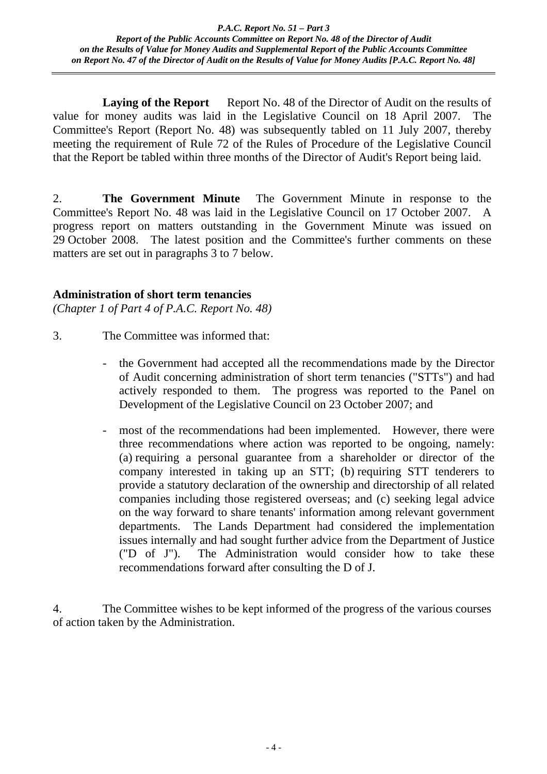**Laying of the Report** Report No. 48 of the Director of Audit on the results of value for money audits was laid in the Legislative Council on 18 April 2007. The Committee's Report (Report No. 48) was subsequently tabled on 11 July 2007, thereby meeting the requirement of Rule 72 of the Rules of Procedure of the Legislative Council that the Report be tabled within three months of the Director of Audit's Report being laid.

2. **The Government Minute** The Government Minute in response to the Committee's Report No. 48 was laid in the Legislative Council on 17 October 2007. A progress report on matters outstanding in the Government Minute was issued on 29 October 2008. The latest position and the Committee's further comments on these matters are set out in paragraphs 3 to 7 below.

# **Administration of short term tenancies**

*(Chapter 1 of Part 4 of P.A.C. Report No. 48)*

- 3. The Committee was informed that:
	- the Government had accepted all the recommendations made by the Director of Audit concerning administration of short term tenancies ("STTs") and had actively responded to them. The progress was reported to the Panel on Development of the Legislative Council on 23 October 2007; and
	- most of the recommendations had been implemented. However, there were three recommendations where action was reported to be ongoing, namely: (a) requiring a personal guarantee from a shareholder or director of the company interested in taking up an STT; (b) requiring STT tenderers to provide a statutory declaration of the ownership and directorship of all related companies including those registered overseas; and (c) seeking legal advice on the way forward to share tenants' information among relevant government departments. The Lands Department had considered the implementation issues internally and had sought further advice from the Department of Justice ("D of J"). The Administration would consider how to take these recommendations forward after consulting the D of J.

4. The Committee wishes to be kept informed of the progress of the various courses of action taken by the Administration.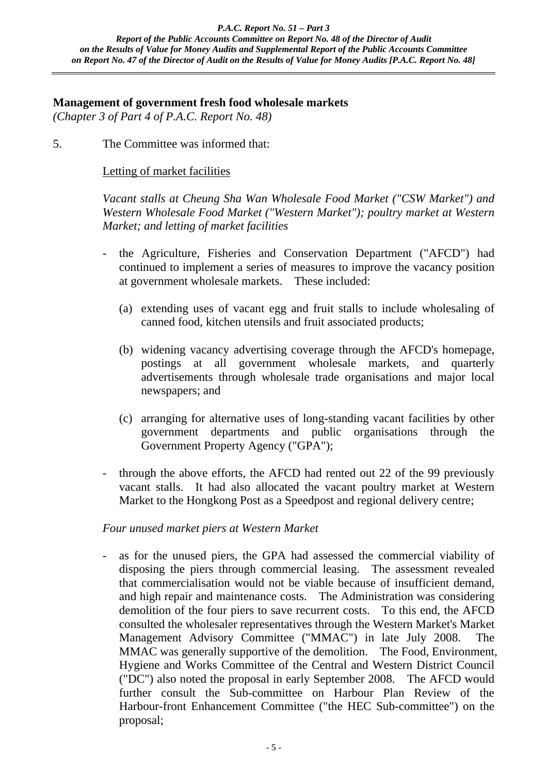#### **Management of government fresh food wholesale markets**

*(Chapter 3 of Part 4 of P.A.C. Report No. 48)*

5. The Committee was informed that:

# Letting of market facilities

*Vacant stalls at Cheung Sha Wan Wholesale Food Market ("CSW Market") and Western Wholesale Food Market ("Western Market"); poultry market at Western Market; and letting of market facilities*

- the Agriculture, Fisheries and Conservation Department ("AFCD") had continued to implement a series of measures to improve the vacancy position at government wholesale markets. These included:
	- (a) extending uses of vacant egg and fruit stalls to include wholesaling of canned food, kitchen utensils and fruit associated products;
	- (b) widening vacancy advertising coverage through the AFCD's homepage, postings at all government wholesale markets, and quarterly advertisements through wholesale trade organisations and major local newspapers; and
	- (c) arranging for alternative uses of long-standing vacant facilities by other government departments and public organisations through the Government Property Agency ("GPA");
- through the above efforts, the AFCD had rented out 22 of the 99 previously vacant stalls. It had also allocated the vacant poultry market at Western Market to the Hongkong Post as a Speedpost and regional delivery centre;

# *Four unused market piers at Western Market*

- as for the unused piers, the GPA had assessed the commercial viability of disposing the piers through commercial leasing. The assessment revealed that commercialisation would not be viable because of insufficient demand, and high repair and maintenance costs. The Administration was considering demolition of the four piers to save recurrent costs. To this end, the AFCD consulted the wholesaler representatives through the Western Market's Market Management Advisory Committee ("MMAC") in late July 2008. The MMAC was generally supportive of the demolition. The Food, Environment, Hygiene and Works Committee of the Central and Western District Council ("DC") also noted the proposal in early September 2008. The AFCD would further consult the Sub-committee on Harbour Plan Review of the Harbour-front Enhancement Committee ("the HEC Sub-committee") on the proposal;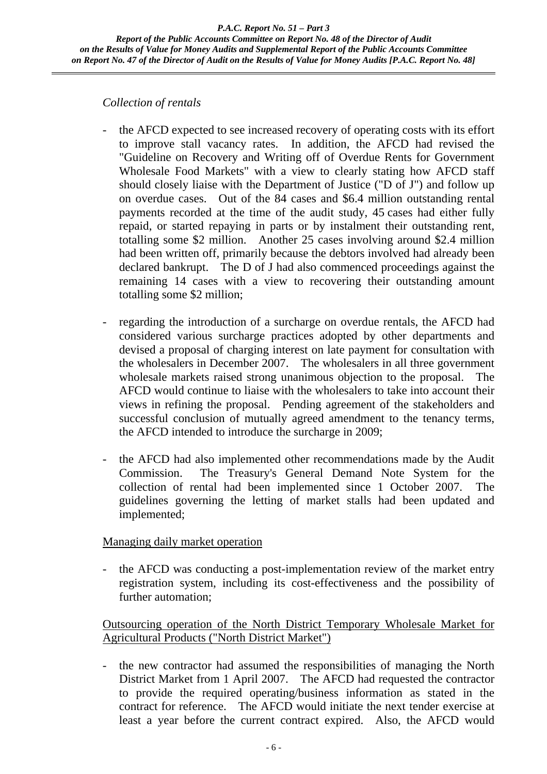#### *Collection of rentals*

- the AFCD expected to see increased recovery of operating costs with its effort to improve stall vacancy rates. In addition, the AFCD had revised the "Guideline on Recovery and Writing off of Overdue Rents for Government Wholesale Food Markets" with a view to clearly stating how AFCD staff should closely liaise with the Department of Justice ("D of J") and follow up on overdue cases. Out of the 84 cases and \$6.4 million outstanding rental payments recorded at the time of the audit study, 45 cases had either fully repaid, or started repaying in parts or by instalment their outstanding rent, totalling some \$2 million. Another 25 cases involving around \$2.4 million had been written off, primarily because the debtors involved had already been declared bankrupt. The D of J had also commenced proceedings against the remaining 14 cases with a view to recovering their outstanding amount totalling some \$2 million;
- regarding the introduction of a surcharge on overdue rentals, the AFCD had considered various surcharge practices adopted by other departments and devised a proposal of charging interest on late payment for consultation with the wholesalers in December 2007. The wholesalers in all three government wholesale markets raised strong unanimous objection to the proposal. The AFCD would continue to liaise with the wholesalers to take into account their views in refining the proposal. Pending agreement of the stakeholders and successful conclusion of mutually agreed amendment to the tenancy terms, the AFCD intended to introduce the surcharge in 2009;
- the AFCD had also implemented other recommendations made by the Audit Commission. The Treasury's General Demand Note System for the collection of rental had been implemented since 1 October 2007. The guidelines governing the letting of market stalls had been updated and implemented;

# Managing daily market operation

the AFCD was conducting a post-implementation review of the market entry registration system, including its cost-effectiveness and the possibility of further automation;

# Outsourcing operation of the North District Temporary Wholesale Market for Agricultural Products ("North District Market")

- the new contractor had assumed the responsibilities of managing the North District Market from 1 April 2007. The AFCD had requested the contractor to provide the required operating/business information as stated in the contract for reference. The AFCD would initiate the next tender exercise at least a year before the current contract expired. Also, the AFCD would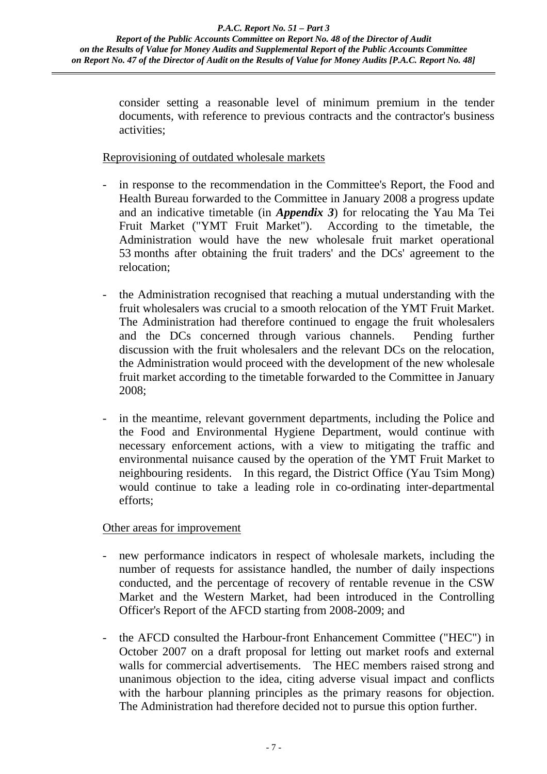consider setting a reasonable level of minimum premium in the tender documents, with reference to previous contracts and the contractor's business activities;

#### Reprovisioning of outdated wholesale markets

- in response to the recommendation in the Committee's Report, the Food and Health Bureau forwarded to the Committee in January 2008 a progress update and an indicative timetable (in *Appendix 3*) for relocating the Yau Ma Tei Fruit Market ("YMT Fruit Market"). According to the timetable, the Administration would have the new wholesale fruit market operational 53 months after obtaining the fruit traders' and the DCs' agreement to the relocation;
- the Administration recognised that reaching a mutual understanding with the fruit wholesalers was crucial to a smooth relocation of the YMT Fruit Market. The Administration had therefore continued to engage the fruit wholesalers and the DCs concerned through various channels. Pending further discussion with the fruit wholesalers and the relevant DCs on the relocation, the Administration would proceed with the development of the new wholesale fruit market according to the timetable forwarded to the Committee in January 2008;
- in the meantime, relevant government departments, including the Police and the Food and Environmental Hygiene Department, would continue with necessary enforcement actions, with a view to mitigating the traffic and environmental nuisance caused by the operation of the YMT Fruit Market to neighbouring residents. In this regard, the District Office (Yau Tsim Mong) would continue to take a leading role in co-ordinating inter-departmental efforts;

# Other areas for improvement

- new performance indicators in respect of wholesale markets, including the number of requests for assistance handled, the number of daily inspections conducted, and the percentage of recovery of rentable revenue in the CSW Market and the Western Market, had been introduced in the Controlling Officer's Report of the AFCD starting from 2008-2009; and
- the AFCD consulted the Harbour-front Enhancement Committee ("HEC") in October 2007 on a draft proposal for letting out market roofs and external walls for commercial advertisements. The HEC members raised strong and unanimous objection to the idea, citing adverse visual impact and conflicts with the harbour planning principles as the primary reasons for objection. The Administration had therefore decided not to pursue this option further.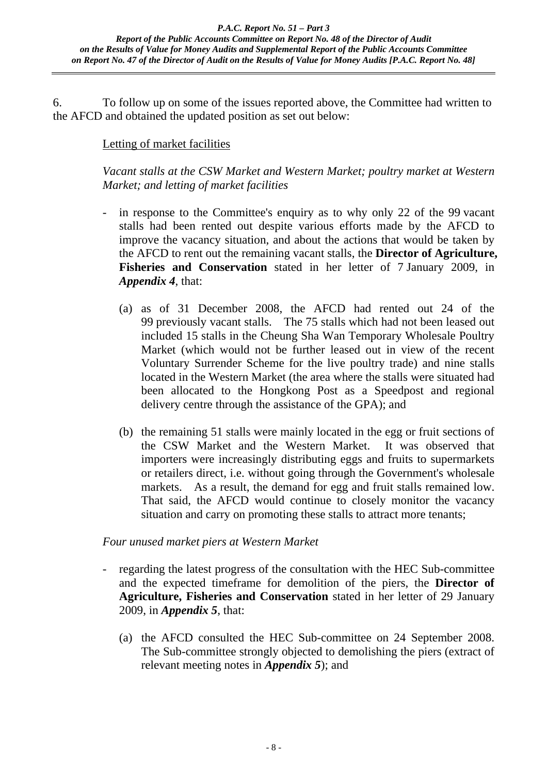6. To follow up on some of the issues reported above, the Committee had written to the AFCD and obtained the updated position as set out below:

# Letting of market facilities

*Vacant stalls at the CSW Market and Western Market; poultry market at Western Market; and letting of market facilities* 

- in response to the Committee's enquiry as to why only 22 of the 99 vacant stalls had been rented out despite various efforts made by the AFCD to improve the vacancy situation, and about the actions that would be taken by the AFCD to rent out the remaining vacant stalls, the **Director of Agriculture, Fisheries and Conservation** stated in her letter of 7 January 2009, in *Appendix 4*, that:
	- (a) as of 31 December 2008, the AFCD had rented out 24 of the 99 previously vacant stalls. The 75 stalls which had not been leased out included 15 stalls in the Cheung Sha Wan Temporary Wholesale Poultry Market (which would not be further leased out in view of the recent Voluntary Surrender Scheme for the live poultry trade) and nine stalls located in the Western Market (the area where the stalls were situated had been allocated to the Hongkong Post as a Speedpost and regional delivery centre through the assistance of the GPA); and
	- (b) the remaining 51 stalls were mainly located in the egg or fruit sections of the CSW Market and the Western Market. It was observed that importers were increasingly distributing eggs and fruits to supermarkets or retailers direct, i.e. without going through the Government's wholesale markets. As a result, the demand for egg and fruit stalls remained low. That said, the AFCD would continue to closely monitor the vacancy situation and carry on promoting these stalls to attract more tenants;

# *Four unused market piers at Western Market*

- regarding the latest progress of the consultation with the HEC Sub-committee and the expected timeframe for demolition of the piers, the **Director of Agriculture, Fisheries and Conservation** stated in her letter of 29 January 2009, in *Appendix 5*, that:
	- (a) the AFCD consulted the HEC Sub-committee on 24 September 2008. The Sub-committee strongly objected to demolishing the piers (extract of relevant meeting notes in *Appendix 5*); and